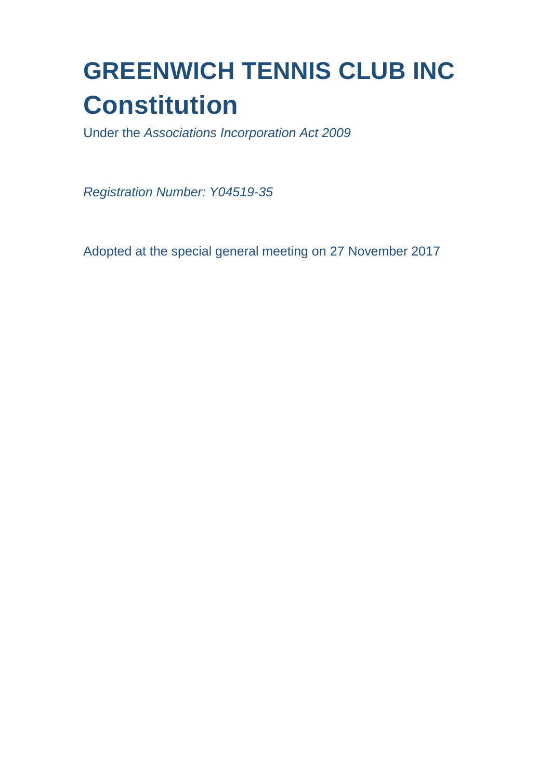# **GREENWICH TENNIS CLUB INC Constitution**

Under the *Associations Incorporation Act 2009*

*Registration Number: Y04519-35*

Adopted at the special general meeting on 27 November 2017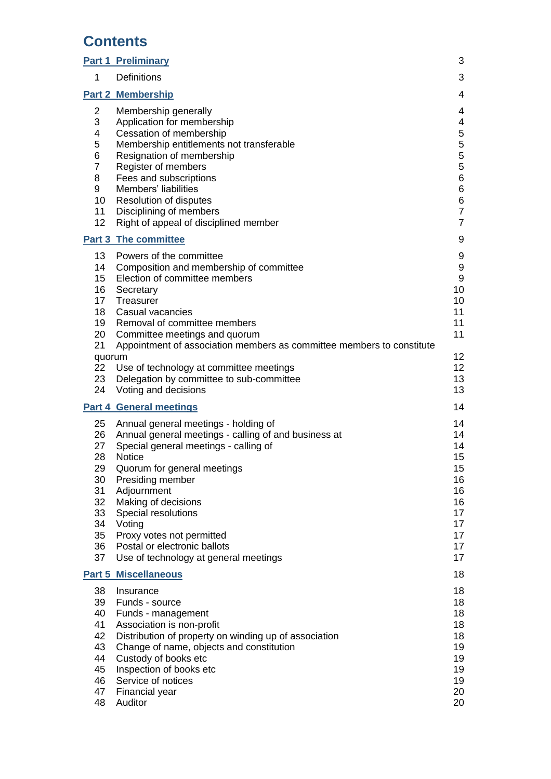# **Contents**

| <u>Part 1</u>                                                              | <b>Preliminary</b>                                                                                                                                                                                                                                                                                                                                                                     | 3                                                                             |
|----------------------------------------------------------------------------|----------------------------------------------------------------------------------------------------------------------------------------------------------------------------------------------------------------------------------------------------------------------------------------------------------------------------------------------------------------------------------------|-------------------------------------------------------------------------------|
| 1                                                                          | <b>Definitions</b>                                                                                                                                                                                                                                                                                                                                                                     | 3                                                                             |
|                                                                            | <b>Part 2 Membership</b>                                                                                                                                                                                                                                                                                                                                                               | 4                                                                             |
| $\overline{2}$<br>3<br>4<br>5<br>6<br>7<br>8<br>9<br>10<br>11<br>12        | Membership generally<br>Application for membership<br>Cessation of membership<br>Membership entitlements not transferable<br>Resignation of membership<br>Register of members<br>Fees and subscriptions<br>Members' liabilities<br><b>Resolution of disputes</b><br>Disciplining of members<br>Right of appeal of disciplined member                                                   | 4<br>4<br>5<br>5<br>5<br>5<br>6<br>6<br>6<br>$\overline{7}$<br>$\overline{7}$ |
|                                                                            | <b>Part 3 The committee</b>                                                                                                                                                                                                                                                                                                                                                            | 9                                                                             |
| 13<br>14<br>15<br>16<br>17<br>18<br>19<br>20<br>21<br>quorum<br>22<br>23   | Powers of the committee<br>Composition and membership of committee<br>Election of committee members<br>Secretary<br>Treasurer<br>Casual vacancies<br>Removal of committee members<br>Committee meetings and quorum<br>Appointment of association members as committee members to constitute<br>Use of technology at committee meetings<br>Delegation by committee to sub-committee     | 9<br>9<br>9<br>10<br>10<br>11<br>11<br>11<br>12<br>12<br>13                   |
| 24                                                                         | Voting and decisions                                                                                                                                                                                                                                                                                                                                                                   | 13                                                                            |
|                                                                            | <b>Part 4 General meetings</b>                                                                                                                                                                                                                                                                                                                                                         | 14                                                                            |
| 25<br>26<br>27<br>28<br>29<br>30<br>31<br>32<br>33<br>34<br>35<br>36<br>37 | Annual general meetings - holding of<br>Annual general meetings - calling of and business at<br>Special general meetings - calling of<br><b>Notice</b><br>Quorum for general meetings<br>Presiding member<br>Adjournment<br>Making of decisions<br>Special resolutions<br>Voting<br>Proxy votes not permitted<br>Postal or electronic ballots<br>Use of technology at general meetings | 14<br>14<br>14<br>15<br>15<br>16<br>16<br>16<br>17<br>17<br>17<br>17<br>17    |
|                                                                            | <b>Part 5 Miscellaneous</b>                                                                                                                                                                                                                                                                                                                                                            | 18                                                                            |
| 38<br>39<br>40<br>41<br>42<br>43<br>44<br>45<br>46<br>47<br>48             | Insurance<br>Funds - source<br>Funds - management<br>Association is non-profit<br>Distribution of property on winding up of association<br>Change of name, objects and constitution<br>Custody of books etc<br>Inspection of books etc<br>Service of notices<br>Financial year<br>Auditor                                                                                              | 18<br>18<br>18<br>18<br>18<br>19<br>19<br>19<br>19<br>20<br>20                |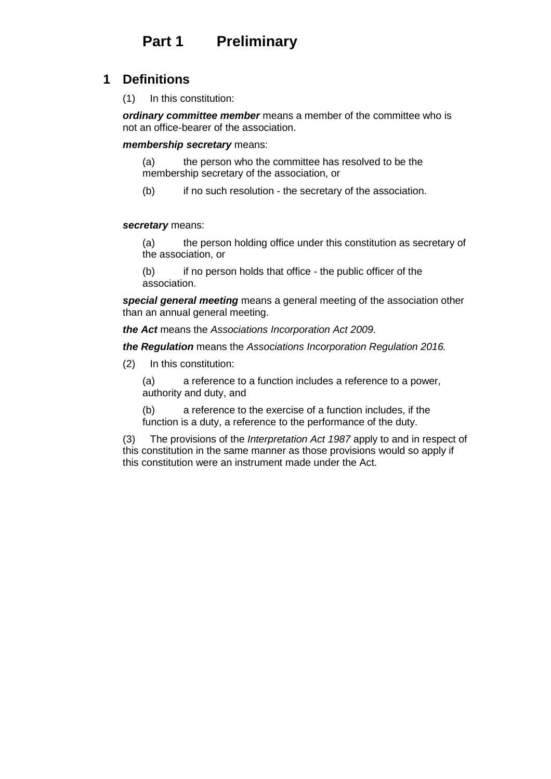# **Part 1 Preliminary**

#### **1 Definitions**

(1) In this constitution:

*ordinary committee member* means a member of the committee who is not an office-bearer of the association.

*membership secretary* means:

(a) the person who the committee has resolved to be the membership secretary of the association, or

(b) if no such resolution - the secretary of the association.

#### *secretary* means:

(a) the person holding office under this constitution as secretary of the association, or

(b) if no person holds that office - the public officer of the association.

*special general meeting* means a general meeting of the association other than an annual general meeting.

*the Act* means the *Associations Incorporation Act 2009*.

*the Regulation* means the *Associations Incorporation Regulation 2016.*

(2) In this constitution:

(a) a reference to a function includes a reference to a power, authority and duty, and

(b) a reference to the exercise of a function includes, if the function is a duty, a reference to the performance of the duty.

(3) The provisions of the *Interpretation Act 1987* apply to and in respect of this constitution in the same manner as those provisions would so apply if this constitution were an instrument made under the Act.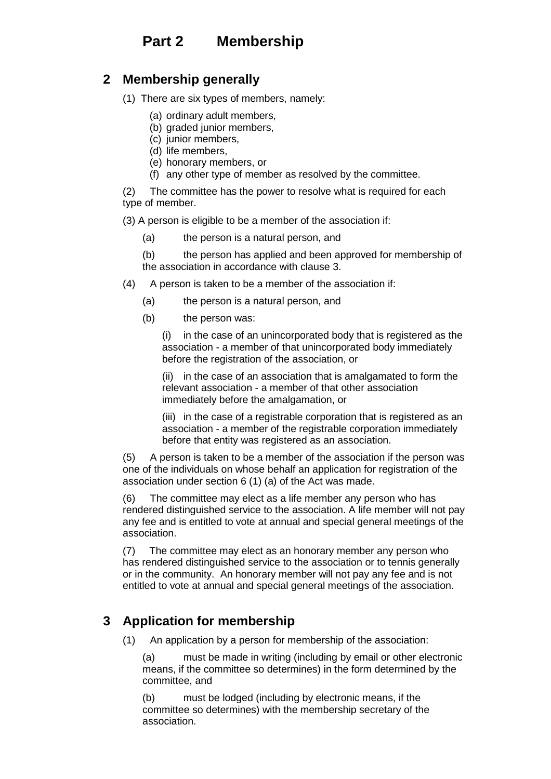# **Part 2 Membership**

# **2 Membership generally**

- (1) There are six types of members, namely:
	- (a) ordinary adult members,
	- (b) graded junior members,
	- (c) junior members,
	- (d) life members,
	- (e) honorary members, or
	- (f) any other type of member as resolved by the committee.

(2) The committee has the power to resolve what is required for each type of member.

(3) A person is eligible to be a member of the association if:

(a) the person is a natural person, and

(b) the person has applied and been approved for membership of the association in accordance with clause 3.

- (4) A person is taken to be a member of the association if:
	- (a) the person is a natural person, and
	- (b) the person was:

(i) in the case of an unincorporated body that is registered as the association - a member of that unincorporated body immediately before the registration of the association, or

(ii) in the case of an association that is amalgamated to form the relevant association - a member of that other association immediately before the amalgamation, or

(iii) in the case of a registrable corporation that is registered as an association - a member of the registrable corporation immediately before that entity was registered as an association.

(5) A person is taken to be a member of the association if the person was one of the individuals on whose behalf an application for registration of the association under section 6 (1) (a) of the Act was made.

(6) The committee may elect as a life member any person who has rendered distinguished service to the association. A life member will not pay any fee and is entitled to vote at annual and special general meetings of the association.

(7) The committee may elect as an honorary member any person who has rendered distinguished service to the association or to tennis generally or in the community. An honorary member will not pay any fee and is not entitled to vote at annual and special general meetings of the association.

# **3 Application for membership**

(1) An application by a person for membership of the association:

(a) must be made in writing (including by email or other electronic means, if the committee so determines) in the form determined by the committee, and

(b) must be lodged (including by electronic means, if the committee so determines) with the membership secretary of the association.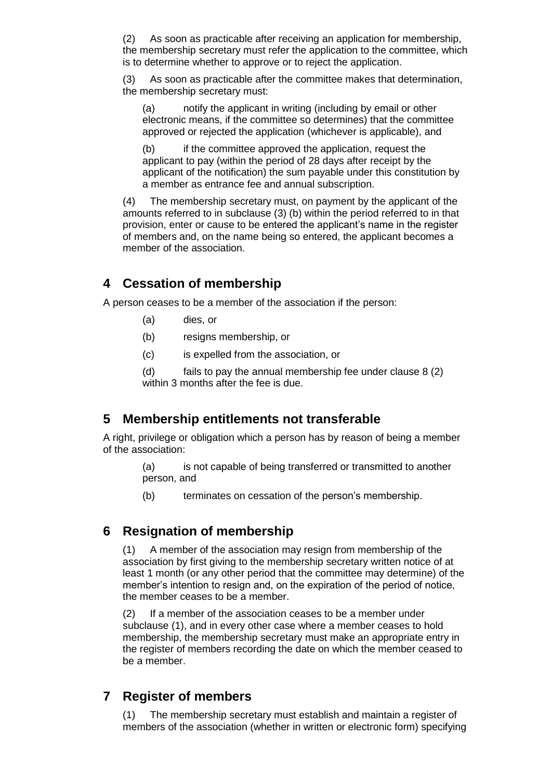(2) As soon as practicable after receiving an application for membership, the membership secretary must refer the application to the committee, which is to determine whether to approve or to reject the application.

(3) As soon as practicable after the committee makes that determination, the membership secretary must:

(a) notify the applicant in writing (including by email or other electronic means, if the committee so determines) that the committee approved or rejected the application (whichever is applicable), and

(b) if the committee approved the application, request the applicant to pay (within the period of 28 days after receipt by the applicant of the notification) the sum payable under this constitution by a member as entrance fee and annual subscription.

(4) The membership secretary must, on payment by the applicant of the amounts referred to in subclause (3) (b) within the period referred to in that provision, enter or cause to be entered the applicant's name in the register of members and, on the name being so entered, the applicant becomes a member of the association.

#### **4 Cessation of membership**

A person ceases to be a member of the association if the person:

- (a) dies, or
- (b) resigns membership, or
- (c) is expelled from the association, or

(d) fails to pay the annual membership fee under clause 8 (2) within 3 months after the fee is due.

#### **5 Membership entitlements not transferable**

A right, privilege or obligation which a person has by reason of being a member of the association:

> (a) is not capable of being transferred or transmitted to another person, and

(b) terminates on cessation of the person's membership.

#### **6 Resignation of membership**

(1) A member of the association may resign from membership of the association by first giving to the membership secretary written notice of at least 1 month (or any other period that the committee may determine) of the member's intention to resign and, on the expiration of the period of notice, the member ceases to be a member.

(2) If a member of the association ceases to be a member under subclause (1), and in every other case where a member ceases to hold membership, the membership secretary must make an appropriate entry in the register of members recording the date on which the member ceased to be a member.

# **7 Register of members**

(1) The membership secretary must establish and maintain a register of members of the association (whether in written or electronic form) specifying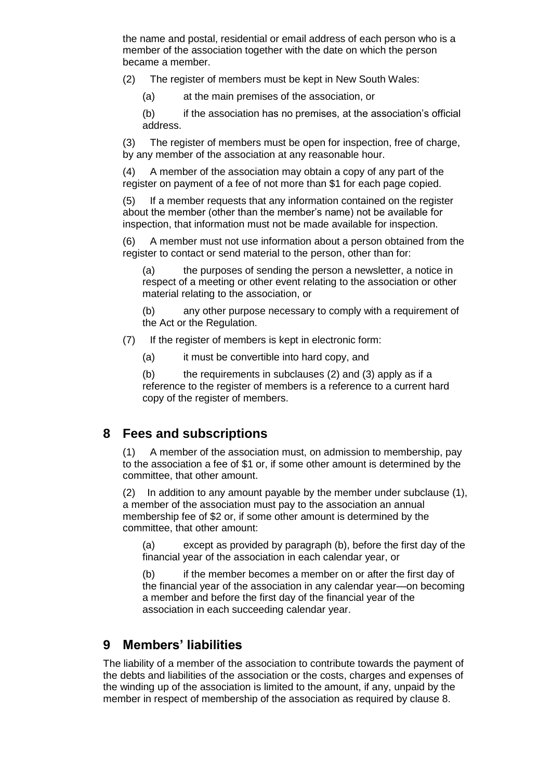the name and postal, residential or email address of each person who is a member of the association together with the date on which the person became a member.

(2) The register of members must be kept in New South Wales:

(a) at the main premises of the association, or

(b) if the association has no premises, at the association's official address.

(3) The register of members must be open for inspection, free of charge, by any member of the association at any reasonable hour.

(4) A member of the association may obtain a copy of any part of the register on payment of a fee of not more than \$1 for each page copied.

(5) If a member requests that any information contained on the register about the member (other than the member's name) not be available for inspection, that information must not be made available for inspection.

(6) A member must not use information about a person obtained from the register to contact or send material to the person, other than for:

(a) the purposes of sending the person a newsletter, a notice in respect of a meeting or other event relating to the association or other material relating to the association, or

(b) any other purpose necessary to comply with a requirement of the Act or the Regulation.

- (7) If the register of members is kept in electronic form:
	- (a) it must be convertible into hard copy, and

(b) the requirements in subclauses (2) and (3) apply as if a reference to the register of members is a reference to a current hard copy of the register of members.

# **8 Fees and subscriptions**

(1) A member of the association must, on admission to membership, pay to the association a fee of \$1 or, if some other amount is determined by the committee, that other amount.

(2) In addition to any amount payable by the member under subclause (1), a member of the association must pay to the association an annual membership fee of \$2 or, if some other amount is determined by the committee, that other amount:

(a) except as provided by paragraph (b), before the first day of the financial year of the association in each calendar year, or

(b) if the member becomes a member on or after the first day of the financial year of the association in any calendar year—on becoming a member and before the first day of the financial year of the association in each succeeding calendar year.

# **9 Members' liabilities**

The liability of a member of the association to contribute towards the payment of the debts and liabilities of the association or the costs, charges and expenses of the winding up of the association is limited to the amount, if any, unpaid by the member in respect of membership of the association as required by clause 8.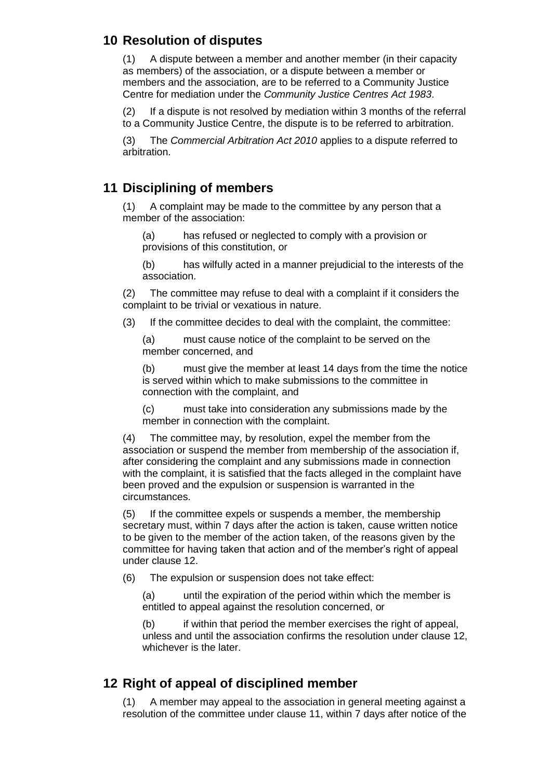# **10 Resolution of disputes**

(1) A dispute between a member and another member (in their capacity as members) of the association, or a dispute between a member or members and the association, are to be referred to a Community Justice Centre for mediation under the *Community Justice Centres Act 1983*.

(2) If a dispute is not resolved by mediation within 3 months of the referral to a Community Justice Centre, the dispute is to be referred to arbitration.

(3) The *Commercial Arbitration Act 2010* applies to a dispute referred to arbitration.

#### **11 Disciplining of members**

(1) A complaint may be made to the committee by any person that a member of the association:

(a) has refused or neglected to comply with a provision or provisions of this constitution, or

(b) has wilfully acted in a manner prejudicial to the interests of the association.

(2) The committee may refuse to deal with a complaint if it considers the complaint to be trivial or vexatious in nature.

(3) If the committee decides to deal with the complaint, the committee:

(a) must cause notice of the complaint to be served on the member concerned, and

(b) must give the member at least 14 days from the time the notice is served within which to make submissions to the committee in connection with the complaint, and

(c) must take into consideration any submissions made by the member in connection with the complaint.

(4) The committee may, by resolution, expel the member from the association or suspend the member from membership of the association if, after considering the complaint and any submissions made in connection with the complaint, it is satisfied that the facts alleged in the complaint have been proved and the expulsion or suspension is warranted in the circumstances.

(5) If the committee expels or suspends a member, the membership secretary must, within 7 days after the action is taken, cause written notice to be given to the member of the action taken, of the reasons given by the committee for having taken that action and of the member's right of appeal under clause 12.

(6) The expulsion or suspension does not take effect:

(a) until the expiration of the period within which the member is entitled to appeal against the resolution concerned, or

(b) if within that period the member exercises the right of appeal, unless and until the association confirms the resolution under clause 12, whichever is the later.

#### **12 Right of appeal of disciplined member**

(1) A member may appeal to the association in general meeting against a resolution of the committee under clause 11, within 7 days after notice of the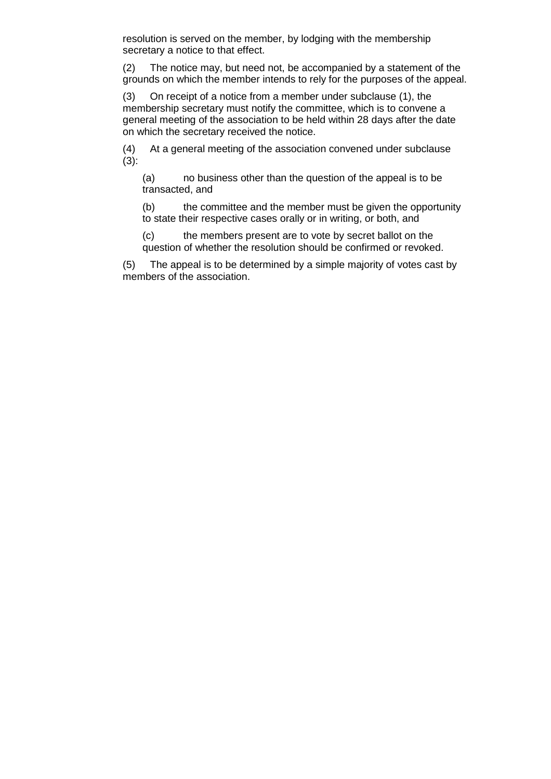resolution is served on the member, by lodging with the membership secretary a notice to that effect.

(2) The notice may, but need not, be accompanied by a statement of the grounds on which the member intends to rely for the purposes of the appeal.

(3) On receipt of a notice from a member under subclause (1), the membership secretary must notify the committee, which is to convene a general meeting of the association to be held within 28 days after the date on which the secretary received the notice.

(4) At a general meeting of the association convened under subclause (3):

(a) no business other than the question of the appeal is to be transacted, and

(b) the committee and the member must be given the opportunity to state their respective cases orally or in writing, or both, and

(c) the members present are to vote by secret ballot on the question of whether the resolution should be confirmed or revoked.

(5) The appeal is to be determined by a simple majority of votes cast by members of the association.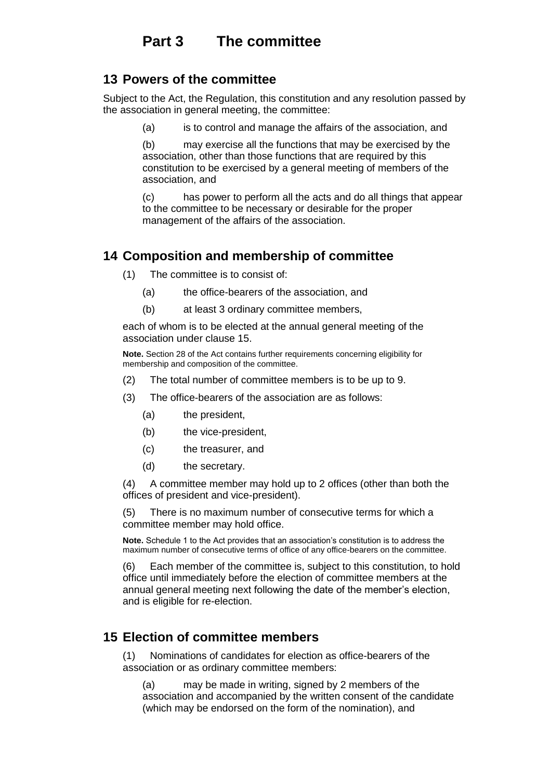#### **13 Powers of the committee**

Subject to the Act, the Regulation, this constitution and any resolution passed by the association in general meeting, the committee:

(a) is to control and manage the affairs of the association, and

(b) may exercise all the functions that may be exercised by the association, other than those functions that are required by this constitution to be exercised by a general meeting of members of the association, and

(c) has power to perform all the acts and do all things that appear to the committee to be necessary or desirable for the proper management of the affairs of the association.

# **14 Composition and membership of committee**

- (1) The committee is to consist of:
	- (a) the office-bearers of the association, and
	- (b) at least 3 ordinary committee members,

each of whom is to be elected at the annual general meeting of the association under clause 15.

**Note.** Section 28 of the Act contains further requirements concerning eligibility for membership and composition of the committee.

- (2) The total number of committee members is to be up to 9.
- (3) The office-bearers of the association are as follows:
	- (a) the president,
	- (b) the vice-president,
	- (c) the treasurer, and
	- (d) the secretary.

(4) A committee member may hold up to 2 offices (other than both the offices of president and vice-president).

(5) There is no maximum number of consecutive terms for which a committee member may hold office.

**Note.** Schedule 1 to the Act provides that an association's constitution is to address the maximum number of consecutive terms of office of any office-bearers on the committee.

(6) Each member of the committee is, subject to this constitution, to hold office until immediately before the election of committee members at the annual general meeting next following the date of the member's election, and is eligible for re-election.

#### **15 Election of committee members**

(1) Nominations of candidates for election as office-bearers of the association or as ordinary committee members:

(a) may be made in writing, signed by 2 members of the association and accompanied by the written consent of the candidate (which may be endorsed on the form of the nomination), and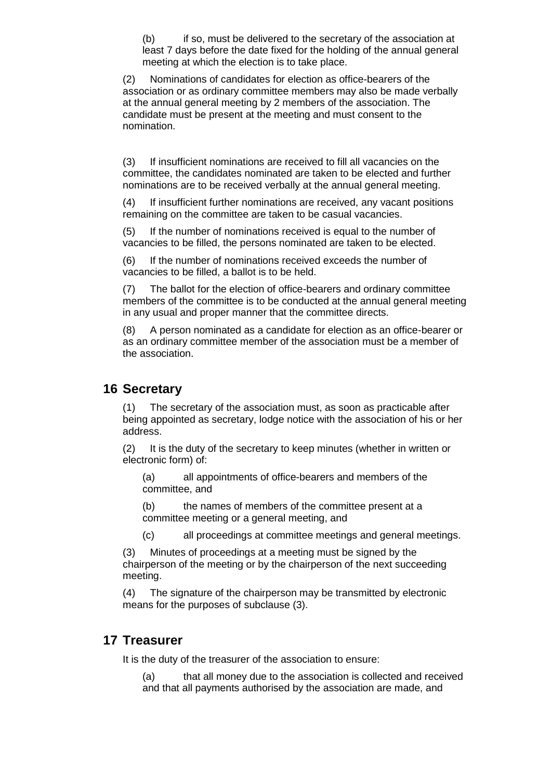(b) if so, must be delivered to the secretary of the association at least 7 days before the date fixed for the holding of the annual general meeting at which the election is to take place.

(2) Nominations of candidates for election as office-bearers of the association or as ordinary committee members may also be made verbally at the annual general meeting by 2 members of the association. The candidate must be present at the meeting and must consent to the nomination.

(3) If insufficient nominations are received to fill all vacancies on the committee, the candidates nominated are taken to be elected and further nominations are to be received verbally at the annual general meeting.

(4) If insufficient further nominations are received, any vacant positions remaining on the committee are taken to be casual vacancies.

(5) If the number of nominations received is equal to the number of vacancies to be filled, the persons nominated are taken to be elected.

(6) If the number of nominations received exceeds the number of vacancies to be filled, a ballot is to be held.

(7) The ballot for the election of office-bearers and ordinary committee members of the committee is to be conducted at the annual general meeting in any usual and proper manner that the committee directs.

(8) A person nominated as a candidate for election as an office-bearer or as an ordinary committee member of the association must be a member of the association.

#### **16 Secretary**

(1) The secretary of the association must, as soon as practicable after being appointed as secretary, lodge notice with the association of his or her address.

(2) It is the duty of the secretary to keep minutes (whether in written or electronic form) of:

(a) all appointments of office-bearers and members of the committee, and

(b) the names of members of the committee present at a committee meeting or a general meeting, and

(c) all proceedings at committee meetings and general meetings.

(3) Minutes of proceedings at a meeting must be signed by the chairperson of the meeting or by the chairperson of the next succeeding meeting.

(4) The signature of the chairperson may be transmitted by electronic means for the purposes of subclause (3).

#### **17 Treasurer**

It is the duty of the treasurer of the association to ensure:

(a) that all money due to the association is collected and received and that all payments authorised by the association are made, and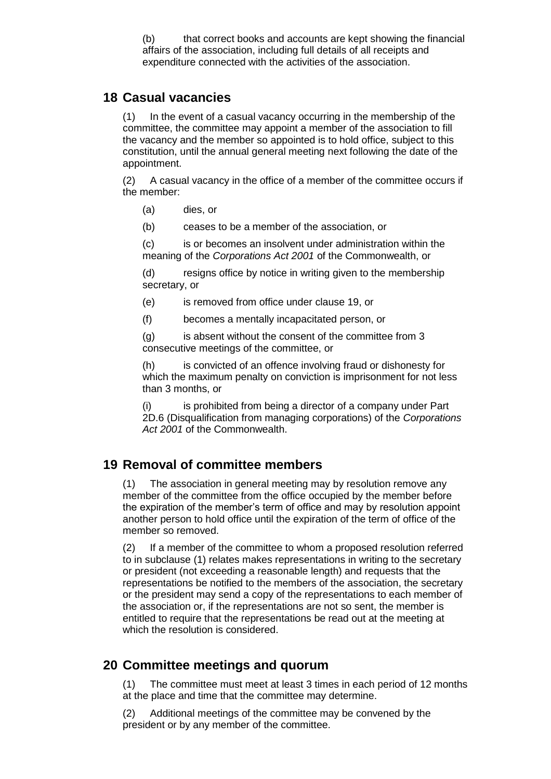(b) that correct books and accounts are kept showing the financial affairs of the association, including full details of all receipts and expenditure connected with the activities of the association.

#### **18 Casual vacancies**

In the event of a casual vacancy occurring in the membership of the committee, the committee may appoint a member of the association to fill the vacancy and the member so appointed is to hold office, subject to this constitution, until the annual general meeting next following the date of the appointment.

(2) A casual vacancy in the office of a member of the committee occurs if the member:

- (a) dies, or
- (b) ceases to be a member of the association, or

(c) is or becomes an insolvent under administration within the meaning of the *Corporations Act 2001* of the Commonwealth, or

(d) resigns office by notice in writing given to the membership secretary, or

- (e) is removed from office under clause 19, or
- (f) becomes a mentally incapacitated person, or

(g) is absent without the consent of the committee from 3 consecutive meetings of the committee, or

(h) is convicted of an offence involving fraud or dishonesty for which the maximum penalty on conviction is imprisonment for not less than 3 months, or

(i) is prohibited from being a director of a company under Part 2D.6 (Disqualification from managing corporations) of the *Corporations Act 2001* of the Commonwealth.

#### **19 Removal of committee members**

(1) The association in general meeting may by resolution remove any member of the committee from the office occupied by the member before the expiration of the member's term of office and may by resolution appoint another person to hold office until the expiration of the term of office of the member so removed.

(2) If a member of the committee to whom a proposed resolution referred to in subclause (1) relates makes representations in writing to the secretary or president (not exceeding a reasonable length) and requests that the representations be notified to the members of the association, the secretary or the president may send a copy of the representations to each member of the association or, if the representations are not so sent, the member is entitled to require that the representations be read out at the meeting at which the resolution is considered.

#### **20 Committee meetings and quorum**

(1) The committee must meet at least 3 times in each period of 12 months at the place and time that the committee may determine.

(2) Additional meetings of the committee may be convened by the president or by any member of the committee.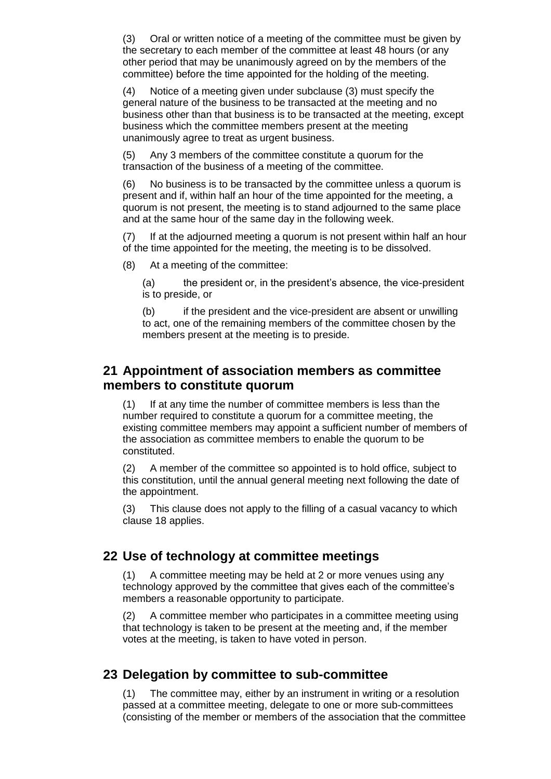(3) Oral or written notice of a meeting of the committee must be given by the secretary to each member of the committee at least 48 hours (or any other period that may be unanimously agreed on by the members of the committee) before the time appointed for the holding of the meeting.

(4) Notice of a meeting given under subclause (3) must specify the general nature of the business to be transacted at the meeting and no business other than that business is to be transacted at the meeting, except business which the committee members present at the meeting unanimously agree to treat as urgent business.

(5) Any 3 members of the committee constitute a quorum for the transaction of the business of a meeting of the committee.

(6) No business is to be transacted by the committee unless a quorum is present and if, within half an hour of the time appointed for the meeting, a quorum is not present, the meeting is to stand adjourned to the same place and at the same hour of the same day in the following week.

(7) If at the adjourned meeting a quorum is not present within half an hour of the time appointed for the meeting, the meeting is to be dissolved.

(8) At a meeting of the committee:

(a) the president or, in the president's absence, the vice-president is to preside, or

(b) if the president and the vice-president are absent or unwilling to act, one of the remaining members of the committee chosen by the members present at the meeting is to preside.

#### **21 Appointment of association members as committee members to constitute quorum**

(1) If at any time the number of committee members is less than the number required to constitute a quorum for a committee meeting, the existing committee members may appoint a sufficient number of members of the association as committee members to enable the quorum to be constituted.

(2) A member of the committee so appointed is to hold office, subject to this constitution, until the annual general meeting next following the date of the appointment.

(3) This clause does not apply to the filling of a casual vacancy to which clause 18 applies.

#### **22 Use of technology at committee meetings**

(1) A committee meeting may be held at 2 or more venues using any technology approved by the committee that gives each of the committee's members a reasonable opportunity to participate.

(2) A committee member who participates in a committee meeting using that technology is taken to be present at the meeting and, if the member votes at the meeting, is taken to have voted in person.

#### **23 Delegation by committee to sub-committee**

(1) The committee may, either by an instrument in writing or a resolution passed at a committee meeting, delegate to one or more sub-committees (consisting of the member or members of the association that the committee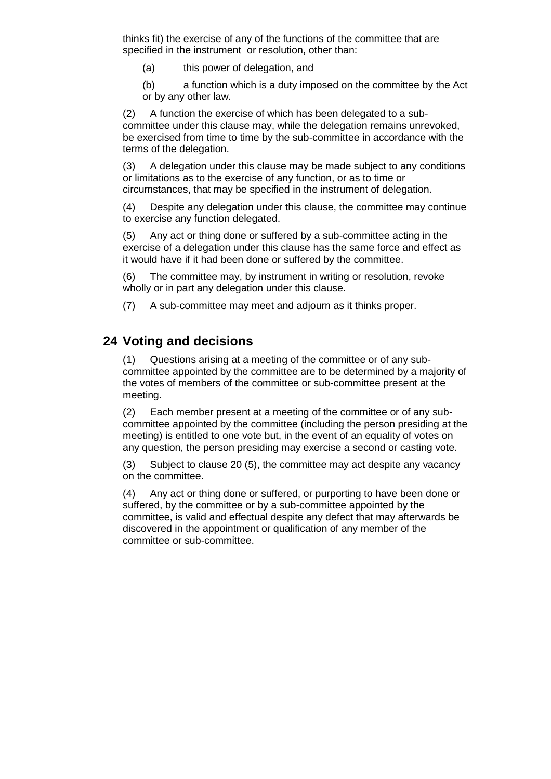thinks fit) the exercise of any of the functions of the committee that are specified in the instrument or resolution, other than:

- (a) this power of delegation, and
- (b) a function which is a duty imposed on the committee by the Act or by any other law.

(2) A function the exercise of which has been delegated to a subcommittee under this clause may, while the delegation remains unrevoked, be exercised from time to time by the sub-committee in accordance with the terms of the delegation.

(3) A delegation under this clause may be made subject to any conditions or limitations as to the exercise of any function, or as to time or circumstances, that may be specified in the instrument of delegation.

(4) Despite any delegation under this clause, the committee may continue to exercise any function delegated.

(5) Any act or thing done or suffered by a sub-committee acting in the exercise of a delegation under this clause has the same force and effect as it would have if it had been done or suffered by the committee.

(6) The committee may, by instrument in writing or resolution, revoke wholly or in part any delegation under this clause.

(7) A sub-committee may meet and adjourn as it thinks proper.

#### **24 Voting and decisions**

(1) Questions arising at a meeting of the committee or of any subcommittee appointed by the committee are to be determined by a majority of the votes of members of the committee or sub-committee present at the meeting.

(2) Each member present at a meeting of the committee or of any subcommittee appointed by the committee (including the person presiding at the meeting) is entitled to one vote but, in the event of an equality of votes on any question, the person presiding may exercise a second or casting vote.

(3) Subject to clause 20 (5), the committee may act despite any vacancy on the committee.

(4) Any act or thing done or suffered, or purporting to have been done or suffered, by the committee or by a sub-committee appointed by the committee, is valid and effectual despite any defect that may afterwards be discovered in the appointment or qualification of any member of the committee or sub-committee.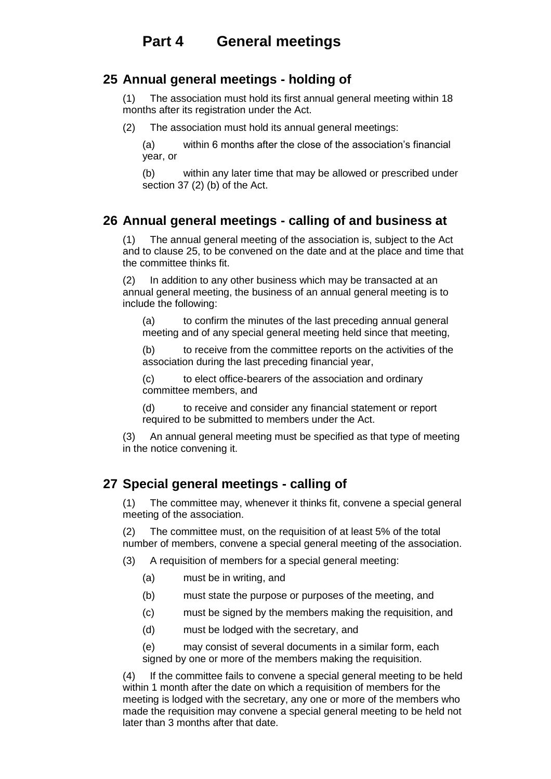#### **25 Annual general meetings - holding of**

(1) The association must hold its first annual general meeting within 18 months after its registration under the Act.

(2) The association must hold its annual general meetings:

(a) within 6 months after the close of the association's financial year, or

(b) within any later time that may be allowed or prescribed under section 37 (2) (b) of the Act.

#### **26 Annual general meetings - calling of and business at**

(1) The annual general meeting of the association is, subject to the Act and to clause 25, to be convened on the date and at the place and time that the committee thinks fit.

(2) In addition to any other business which may be transacted at an annual general meeting, the business of an annual general meeting is to include the following:

(a) to confirm the minutes of the last preceding annual general meeting and of any special general meeting held since that meeting,

(b) to receive from the committee reports on the activities of the association during the last preceding financial year,

(c) to elect office-bearers of the association and ordinary committee members, and

(d) to receive and consider any financial statement or report required to be submitted to members under the Act.

(3) An annual general meeting must be specified as that type of meeting in the notice convening it.

#### **27 Special general meetings - calling of**

(1) The committee may, whenever it thinks fit, convene a special general meeting of the association.

(2) The committee must, on the requisition of at least 5% of the total number of members, convene a special general meeting of the association.

(3) A requisition of members for a special general meeting:

- (a) must be in writing, and
- (b) must state the purpose or purposes of the meeting, and
- (c) must be signed by the members making the requisition, and
- (d) must be lodged with the secretary, and

(e) may consist of several documents in a similar form, each signed by one or more of the members making the requisition.

(4) If the committee fails to convene a special general meeting to be held within 1 month after the date on which a requisition of members for the meeting is lodged with the secretary, any one or more of the members who made the requisition may convene a special general meeting to be held not later than 3 months after that date.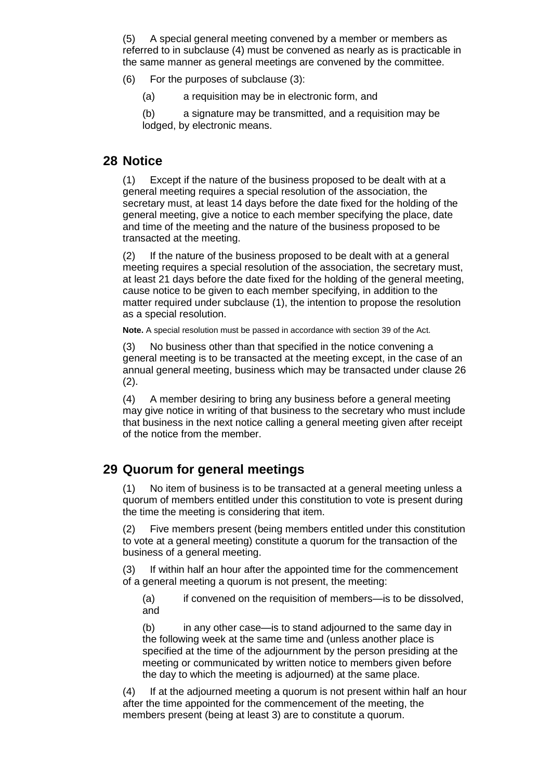(5) A special general meeting convened by a member or members as referred to in subclause (4) must be convened as nearly as is practicable in the same manner as general meetings are convened by the committee.

- (6) For the purposes of subclause (3):
	- (a) a requisition may be in electronic form, and

(b) a signature may be transmitted, and a requisition may be lodged, by electronic means.

#### **28 Notice**

(1) Except if the nature of the business proposed to be dealt with at a general meeting requires a special resolution of the association, the secretary must, at least 14 days before the date fixed for the holding of the general meeting, give a notice to each member specifying the place, date and time of the meeting and the nature of the business proposed to be transacted at the meeting.

(2) If the nature of the business proposed to be dealt with at a general meeting requires a special resolution of the association, the secretary must, at least 21 days before the date fixed for the holding of the general meeting, cause notice to be given to each member specifying, in addition to the matter required under subclause (1), the intention to propose the resolution as a special resolution.

**Note.** A special resolution must be passed in accordance with section 39 of the Act.

(3) No business other than that specified in the notice convening a general meeting is to be transacted at the meeting except, in the case of an annual general meeting, business which may be transacted under clause 26 (2).

(4) A member desiring to bring any business before a general meeting may give notice in writing of that business to the secretary who must include that business in the next notice calling a general meeting given after receipt of the notice from the member.

#### **29 Quorum for general meetings**

(1) No item of business is to be transacted at a general meeting unless a quorum of members entitled under this constitution to vote is present during the time the meeting is considering that item.

(2) Five members present (being members entitled under this constitution to vote at a general meeting) constitute a quorum for the transaction of the business of a general meeting.

(3) If within half an hour after the appointed time for the commencement of a general meeting a quorum is not present, the meeting:

(a) if convened on the requisition of members—is to be dissolved, and

(b) in any other case—is to stand adjourned to the same day in the following week at the same time and (unless another place is specified at the time of the adjournment by the person presiding at the meeting or communicated by written notice to members given before the day to which the meeting is adjourned) at the same place.

(4) If at the adjourned meeting a quorum is not present within half an hour after the time appointed for the commencement of the meeting, the members present (being at least 3) are to constitute a quorum.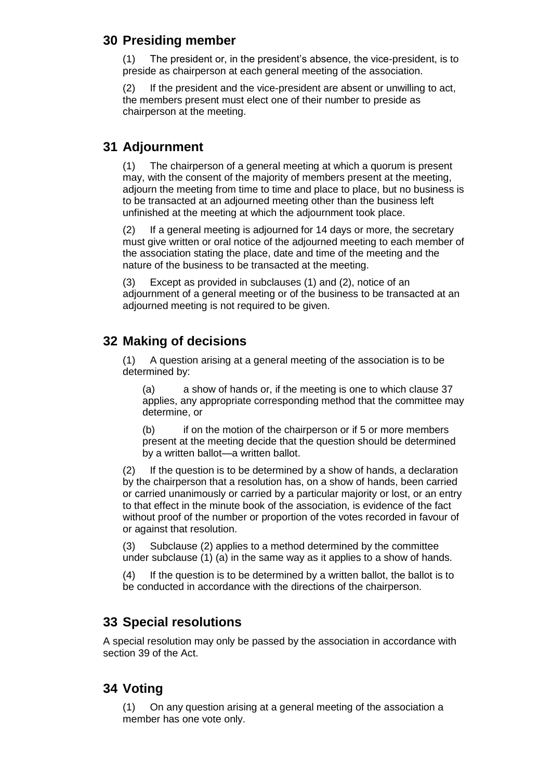#### **30 Presiding member**

(1) The president or, in the president's absence, the vice-president, is to preside as chairperson at each general meeting of the association.

(2) If the president and the vice-president are absent or unwilling to act, the members present must elect one of their number to preside as chairperson at the meeting.

#### **31 Adjournment**

(1) The chairperson of a general meeting at which a quorum is present may, with the consent of the majority of members present at the meeting, adjourn the meeting from time to time and place to place, but no business is to be transacted at an adjourned meeting other than the business left unfinished at the meeting at which the adjournment took place.

(2) If a general meeting is adjourned for 14 days or more, the secretary must give written or oral notice of the adjourned meeting to each member of the association stating the place, date and time of the meeting and the nature of the business to be transacted at the meeting.

(3) Except as provided in subclauses (1) and (2), notice of an adjournment of a general meeting or of the business to be transacted at an adjourned meeting is not required to be given.

# **32 Making of decisions**

(1) A question arising at a general meeting of the association is to be determined by:

(a) a show of hands or, if the meeting is one to which clause 37 applies, any appropriate corresponding method that the committee may determine, or

(b) if on the motion of the chairperson or if 5 or more members present at the meeting decide that the question should be determined by a written ballot—a written ballot.

(2) If the question is to be determined by a show of hands, a declaration by the chairperson that a resolution has, on a show of hands, been carried or carried unanimously or carried by a particular majority or lost, or an entry to that effect in the minute book of the association, is evidence of the fact without proof of the number or proportion of the votes recorded in favour of or against that resolution.

(3) Subclause (2) applies to a method determined by the committee under subclause (1) (a) in the same way as it applies to a show of hands.

(4) If the question is to be determined by a written ballot, the ballot is to be conducted in accordance with the directions of the chairperson.

# **33 Special resolutions**

A special resolution may only be passed by the association in accordance with section 39 of the Act.

# **34 Voting**

(1) On any question arising at a general meeting of the association a member has one vote only.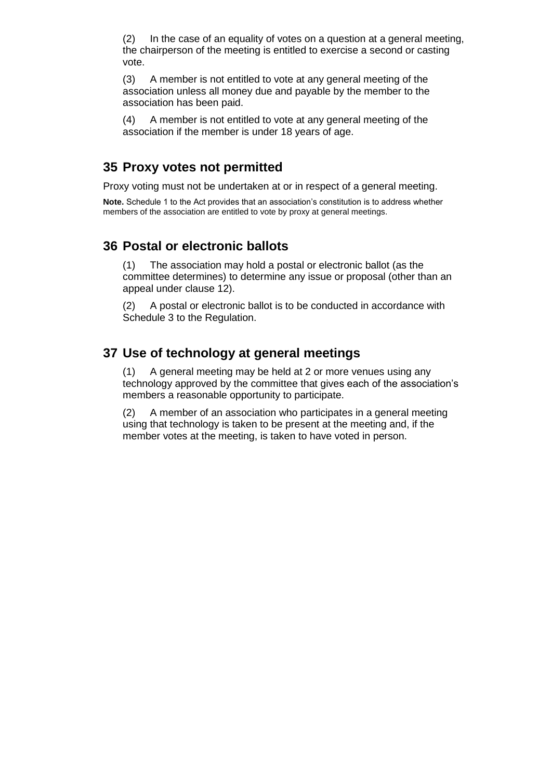(2) In the case of an equality of votes on a question at a general meeting, the chairperson of the meeting is entitled to exercise a second or casting vote.

(3) A member is not entitled to vote at any general meeting of the association unless all money due and payable by the member to the association has been paid.

(4) A member is not entitled to vote at any general meeting of the association if the member is under 18 years of age.

#### **35 Proxy votes not permitted**

Proxy voting must not be undertaken at or in respect of a general meeting.

**Note.** Schedule 1 to the Act provides that an association's constitution is to address whether members of the association are entitled to vote by proxy at general meetings.

#### **36 Postal or electronic ballots**

(1) The association may hold a postal or electronic ballot (as the committee determines) to determine any issue or proposal (other than an appeal under clause 12).

(2) A postal or electronic ballot is to be conducted in accordance with Schedule 3 to the Regulation.

#### **37 Use of technology at general meetings**

(1) A general meeting may be held at 2 or more venues using any technology approved by the committee that gives each of the association's members a reasonable opportunity to participate.

(2) A member of an association who participates in a general meeting using that technology is taken to be present at the meeting and, if the member votes at the meeting, is taken to have voted in person.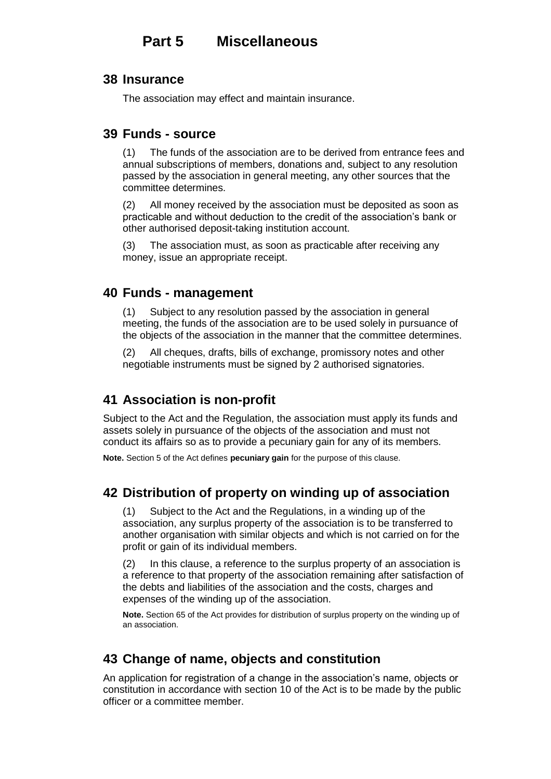# **Part 5 Miscellaneous**

#### **38 Insurance**

The association may effect and maintain insurance.

#### **39 Funds - source**

(1) The funds of the association are to be derived from entrance fees and annual subscriptions of members, donations and, subject to any resolution passed by the association in general meeting, any other sources that the committee determines.

(2) All money received by the association must be deposited as soon as practicable and without deduction to the credit of the association's bank or other authorised deposit-taking institution account.

(3) The association must, as soon as practicable after receiving any money, issue an appropriate receipt.

#### **40 Funds - management**

(1) Subject to any resolution passed by the association in general meeting, the funds of the association are to be used solely in pursuance of the objects of the association in the manner that the committee determines.

(2) All cheques, drafts, bills of exchange, promissory notes and other negotiable instruments must be signed by 2 authorised signatories.

#### **41 Association is non-profit**

Subject to the Act and the Regulation, the association must apply its funds and assets solely in pursuance of the objects of the association and must not conduct its affairs so as to provide a pecuniary gain for any of its members.

**Note.** Section 5 of the Act defines **pecuniary gain** for the purpose of this clause.

#### **42 Distribution of property on winding up of association**

(1) Subject to the Act and the Regulations, in a winding up of the association, any surplus property of the association is to be transferred to another organisation with similar objects and which is not carried on for the profit or gain of its individual members.

(2) In this clause, a reference to the surplus property of an association is a reference to that property of the association remaining after satisfaction of the debts and liabilities of the association and the costs, charges and expenses of the winding up of the association.

**Note.** Section 65 of the Act provides for distribution of surplus property on the winding up of an association.

#### **43 Change of name, objects and constitution**

An application for registration of a change in the association's name, objects or constitution in accordance with section 10 of the Act is to be made by the public officer or a committee member.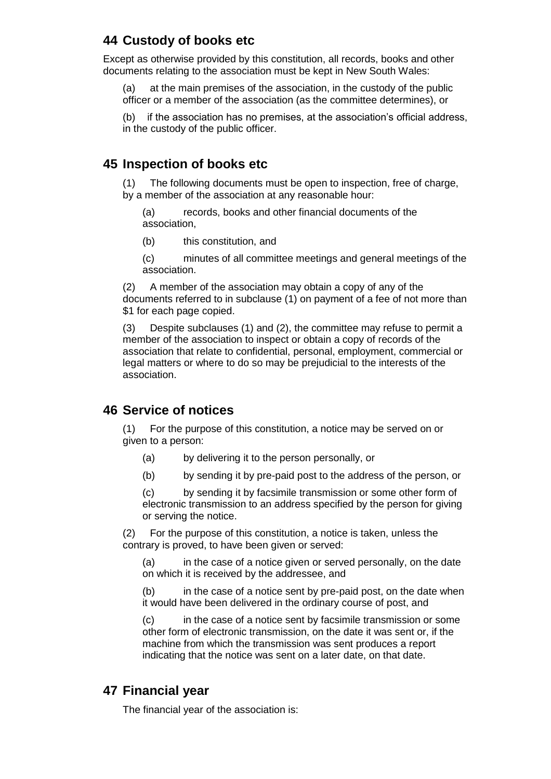# **44 Custody of books etc**

Except as otherwise provided by this constitution, all records, books and other documents relating to the association must be kept in New South Wales:

(a) at the main premises of the association, in the custody of the public officer or a member of the association (as the committee determines), or

(b) if the association has no premises, at the association's official address, in the custody of the public officer.

#### **45 Inspection of books etc**

(1) The following documents must be open to inspection, free of charge, by a member of the association at any reasonable hour:

(a) records, books and other financial documents of the association,

(b) this constitution, and

(c) minutes of all committee meetings and general meetings of the association.

(2) A member of the association may obtain a copy of any of the documents referred to in subclause (1) on payment of a fee of not more than \$1 for each page copied.

(3) Despite subclauses (1) and (2), the committee may refuse to permit a member of the association to inspect or obtain a copy of records of the association that relate to confidential, personal, employment, commercial or legal matters or where to do so may be prejudicial to the interests of the association.

#### **46 Service of notices**

(1) For the purpose of this constitution, a notice may be served on or given to a person:

- (a) by delivering it to the person personally, or
- (b) by sending it by pre-paid post to the address of the person, or

(c) by sending it by facsimile transmission or some other form of electronic transmission to an address specified by the person for giving or serving the notice.

(2) For the purpose of this constitution, a notice is taken, unless the contrary is proved, to have been given or served:

(a) in the case of a notice given or served personally, on the date on which it is received by the addressee, and

(b) in the case of a notice sent by pre-paid post, on the date when it would have been delivered in the ordinary course of post, and

(c) in the case of a notice sent by facsimile transmission or some other form of electronic transmission, on the date it was sent or, if the machine from which the transmission was sent produces a report indicating that the notice was sent on a later date, on that date.

#### **47 Financial year**

The financial year of the association is: